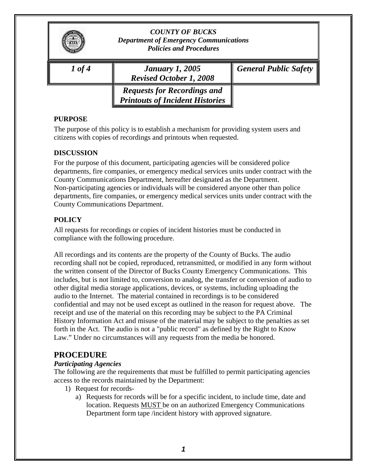|          | <b>COUNTY OF BUCKS</b><br><b>Department of Emergency Communications</b><br><b>Policies and Procedures</b> |                              |
|----------|-----------------------------------------------------------------------------------------------------------|------------------------------|
| $1$ of 4 | <b>January 1, 2005</b><br><b>Revised October 1, 2008</b>                                                  | <b>General Public Safety</b> |
|          | <b>Requests for Recordings and</b><br><b>Printouts of Incident Histories</b>                              |                              |

#### **PURPOSE**

The purpose of this policy is to establish a mechanism for providing system users and citizens with copies of recordings and printouts when requested.

#### **DISCUSSION**

For the purpose of this document, participating agencies will be considered police departments, fire companies, or emergency medical services units under contract with the County Communications Department, hereafter designated as the Department. Non-participating agencies or individuals will be considered anyone other than police departments, fire companies, or emergency medical services units under contract with the County Communications Department.

## **POLICY**

All requests for recordings or copies of incident histories must be conducted in compliance with the following procedure.

All recordings and its contents are the property of the County of Bucks. The audio recording shall not be copied, reproduced, retransmitted, or modified in any form without the written consent of the Director of Bucks County Emergency Communications. This includes, but is not limited to, conversion to analog, the transfer or conversion of audio to other digital media storage applications, devices, or systems, including uploading the audio to the Internet. The material contained in recordings is to be considered confidential and may not be used except as outlined in the reason for request above. The receipt and use of the material on this recording may be subject to the PA Criminal History Information Act and misuse of the material may be subject to the penalties as set forth in the Act. The audio is not a "public record" as defined by the Right to Know Law." Under no circumstances will any requests from the media be honored.

# **PROCEDURE**

## *Participating Agencies*

The following are the requirements that must be fulfilled to permit participating agencies access to the records maintained by the Department:

- 1) Request for records
	- a) Requests for records will be for a specific incident, to include time, date and location. Requests MUST be on an authorized Emergency Communications Department form tape /incident history with approved signature.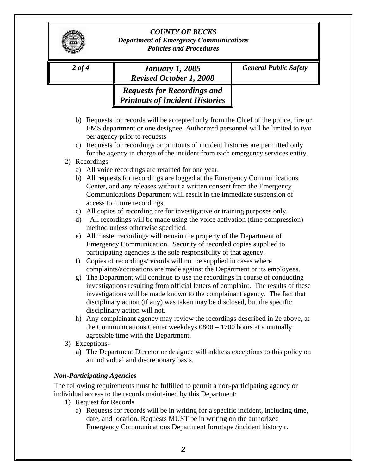|                                            | <b>January 1, 2005</b><br><b>Revised October 1, 2008</b>                                                                                                                                                                                                                                                                                                                                                                                                                                                                                                                                                                                                                                                                                                                                                                                                                                                                                                                                                                                                                                                                                                                                                                                    | <b>General Public Safety</b>                                                     |
|--------------------------------------------|---------------------------------------------------------------------------------------------------------------------------------------------------------------------------------------------------------------------------------------------------------------------------------------------------------------------------------------------------------------------------------------------------------------------------------------------------------------------------------------------------------------------------------------------------------------------------------------------------------------------------------------------------------------------------------------------------------------------------------------------------------------------------------------------------------------------------------------------------------------------------------------------------------------------------------------------------------------------------------------------------------------------------------------------------------------------------------------------------------------------------------------------------------------------------------------------------------------------------------------------|----------------------------------------------------------------------------------|
|                                            | <b>Requests for Recordings and</b><br><b>Printouts of Incident Histories</b>                                                                                                                                                                                                                                                                                                                                                                                                                                                                                                                                                                                                                                                                                                                                                                                                                                                                                                                                                                                                                                                                                                                                                                |                                                                                  |
| C)                                         | b) Requests for records will be accepted only from the Chief of the police, fire or<br>EMS department or one designee. Authorized personnel will be limited to two<br>per agency prior to requests<br>Requests for recordings or printouts of incident histories are permitted only                                                                                                                                                                                                                                                                                                                                                                                                                                                                                                                                                                                                                                                                                                                                                                                                                                                                                                                                                         |                                                                                  |
| 2) Recordings-                             | for the agency in charge of the incident from each emergency services entity.                                                                                                                                                                                                                                                                                                                                                                                                                                                                                                                                                                                                                                                                                                                                                                                                                                                                                                                                                                                                                                                                                                                                                               |                                                                                  |
| a)<br>b)<br>$\mathbf{d}$<br>e)<br>f)<br>g) | All voice recordings are retained for one year.<br>All requests for recordings are logged at the Emergency Communications<br>Center, and any releases without a written consent from the Emergency<br>Communications Department will result in the immediate suspension of<br>access to future recordings.<br>c) All copies of recording are for investigative or training purposes only.<br>All recordings will be made using the voice activation (time compression)<br>method unless otherwise specified.<br>All master recordings will remain the property of the Department of<br>Emergency Communication. Security of recorded copies supplied to<br>participating agencies is the sole responsibility of that agency.<br>Copies of recordings/records will not be supplied in cases where<br>complaints/accusations are made against the Department or its employees.<br>The Department will continue to use the recordings in course of conducting<br>investigations resulting from official letters of complaint. The results of these<br>investigations will be made known to the complainant agency. The fact that<br>disciplinary action (if any) was taken may be disclosed, but the specific<br>disciplinary action will not. |                                                                                  |
|                                            | h) Any complainant agency may review the recordings described in 2e above, at<br>the Communications Center weekdays $0800 - 1700$ hours at a mutually<br>agreeable time with the Department.                                                                                                                                                                                                                                                                                                                                                                                                                                                                                                                                                                                                                                                                                                                                                                                                                                                                                                                                                                                                                                                |                                                                                  |
| 3) Exceptions-                             |                                                                                                                                                                                                                                                                                                                                                                                                                                                                                                                                                                                                                                                                                                                                                                                                                                                                                                                                                                                                                                                                                                                                                                                                                                             | a) The Department Director or designee will address exceptions to this policy on |

Emergency Communications Department formtape /incident history r.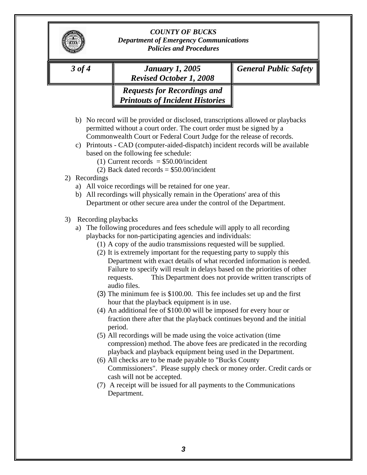| $3$ of $4$                | <b>January 1, 2005</b><br><b>Revised October 1, 2008</b>                                                                                                                                                                                                                                                                                                                                                                                                                                                                                                                                                                                                                                                                                                                                                                                                                                                                                                                                                                                                                                                                                                                                                                                                                                   | <b>General Public Safety</b> |
|---------------------------|--------------------------------------------------------------------------------------------------------------------------------------------------------------------------------------------------------------------------------------------------------------------------------------------------------------------------------------------------------------------------------------------------------------------------------------------------------------------------------------------------------------------------------------------------------------------------------------------------------------------------------------------------------------------------------------------------------------------------------------------------------------------------------------------------------------------------------------------------------------------------------------------------------------------------------------------------------------------------------------------------------------------------------------------------------------------------------------------------------------------------------------------------------------------------------------------------------------------------------------------------------------------------------------------|------------------------------|
|                           | <b>Requests for Recordings and</b><br><b>Printouts of Incident Histories</b>                                                                                                                                                                                                                                                                                                                                                                                                                                                                                                                                                                                                                                                                                                                                                                                                                                                                                                                                                                                                                                                                                                                                                                                                               |                              |
| 2) Recordings             | b) No record will be provided or disclosed, transcriptions allowed or playbacks<br>permitted without a court order. The court order must be signed by a<br>Commonwealth Court or Federal Court Judge for the release of records.<br>c) Printouts - CAD (computer-aided-dispatch) incident records will be available<br>based on the following fee schedule:<br>(1) Current records $= $50.00/$ incident<br>(2) Back dated records $= $50.00/$ incident<br>a) All voice recordings will be retained for one year.<br>b) All recordings will physically remain in the Operations' area of this                                                                                                                                                                                                                                                                                                                                                                                                                                                                                                                                                                                                                                                                                               |                              |
|                           | Department or other secure area under the control of the Department.                                                                                                                                                                                                                                                                                                                                                                                                                                                                                                                                                                                                                                                                                                                                                                                                                                                                                                                                                                                                                                                                                                                                                                                                                       |                              |
| Recording playbacks<br>3) | a) The following procedures and fees schedule will apply to all recording<br>playbacks for non-participating agencies and individuals:<br>(1) A copy of the audio transmissions requested will be supplied.<br>(2) It is extremely important for the requesting party to supply this<br>Department with exact details of what recorded information is needed.<br>Failure to specify will result in delays based on the priorities of other<br>This Department does not provide written transcripts of<br>requests.<br>audio files.<br>(3) The minimum fee is \$100.00. This fee includes set up and the first<br>hour that the playback equipment is in use.<br>(4) An additional fee of \$100.00 will be imposed for every hour or<br>fraction there after that the playback continues beyond and the initial<br>period.<br>(5) All recordings will be made using the voice activation (time<br>compression) method. The above fees are predicated in the recording<br>playback and playback equipment being used in the Department.<br>(6) All checks are to be made payable to "Bucks County<br>Commissioners". Please supply check or money order. Credit cards or<br>cash will not be accepted.<br>(7) A receipt will be issued for all payments to the Communications<br>Department. |                              |